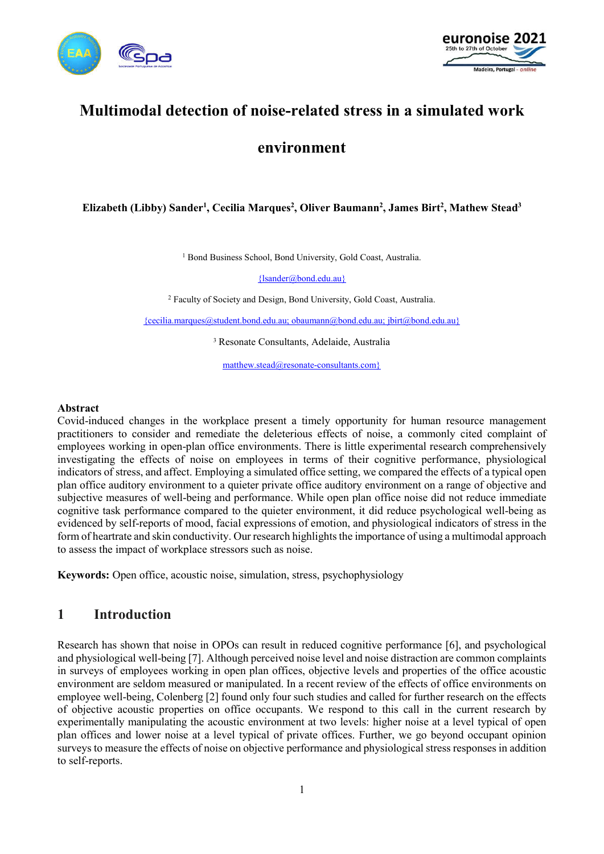



# **Multimodal detection of noise-related stress in a simulated work**

## **environment**

### **Elizabeth (Libby) Sander1 , Cecilia Marques2 , Oliver Baumann2 , James Birt2 , Mathew Stead3**

<sup>1</sup> Bond Business School, Bond University, Gold Coast, Australia.

{lsander@bond.edu.au}

<sup>2</sup> Faculty of Society and Design, Bond University, Gold Coast, Australia.

{cecilia.marques@student.bond.edu.au; obaumann@bond.edu.au; jbirt@bond.edu.au}

<sup>3</sup> Resonate Consultants, Adelaide, Australia

matthew.stead@resonate-consultants.com}

#### **Abstract**

Covid-induced changes in the workplace present a timely opportunity for human resource management practitioners to consider and remediate the deleterious effects of noise, a commonly cited complaint of employees working in open-plan office environments. There is little experimental research comprehensively investigating the effects of noise on employees in terms of their cognitive performance, physiological indicators of stress, and affect. Employing a simulated office setting, we compared the effects of a typical open plan office auditory environment to a quieter private office auditory environment on a range of objective and subjective measures of well-being and performance. While open plan office noise did not reduce immediate cognitive task performance compared to the quieter environment, it did reduce psychological well-being as evidenced by self-reports of mood, facial expressions of emotion, and physiological indicators of stress in the form of heartrate and skin conductivity. Our research highlights the importance of using a multimodal approach to assess the impact of workplace stressors such as noise.

**Keywords:** Open office, acoustic noise, simulation, stress, psychophysiology

### **1 Introduction**

Research has shown that noise in OPOs can result in reduced cognitive performance [6], and psychological and physiological well-being [7]. Although perceived noise level and noise distraction are common complaints in surveys of employees working in open plan offices, objective levels and properties of the office acoustic environment are seldom measured or manipulated. In a recent review of the effects of office environments on employee well-being, Colenberg [2] found only four such studies and called for further research on the effects of objective acoustic properties on office occupants. We respond to this call in the current research by experimentally manipulating the acoustic environment at two levels: higher noise at a level typical of open plan offices and lower noise at a level typical of private offices. Further, we go beyond occupant opinion surveys to measure the effects of noise on objective performance and physiological stress responses in addition to self-reports.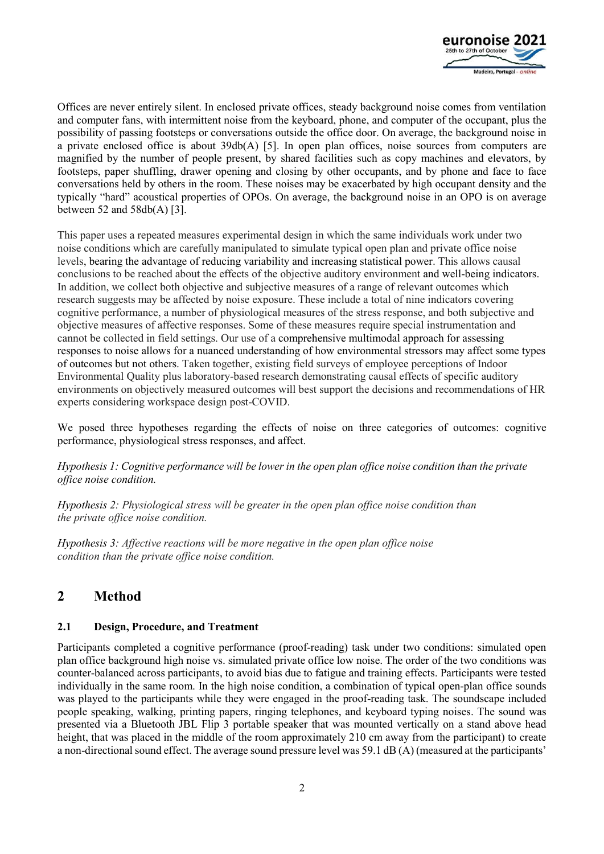

Offices are never entirely silent. In enclosed private offices, steady background noise comes from ventilation and computer fans, with intermittent noise from the keyboard, phone, and computer of the occupant, plus the possibility of passing footsteps or conversations outside the office door. On average, the background noise in a private enclosed office is about 39db(A) [5]. In open plan offices, noise sources from computers are magnified by the number of people present, by shared facilities such as copy machines and elevators, by footsteps, paper shuffling, drawer opening and closing by other occupants, and by phone and face to face conversations held by others in the room. These noises may be exacerbated by high occupant density and the typically "hard" acoustical properties of OPOs. On average, the background noise in an OPO is on average between 52 and  $58db(A)$  [3].

This paper uses a repeated measures experimental design in which the same individuals work under two noise conditions which are carefully manipulated to simulate typical open plan and private office noise levels, bearing the advantage of reducing variability and increasing statistical power. This allows causal conclusions to be reached about the effects of the objective auditory environment and well-being indicators. In addition, we collect both objective and subjective measures of a range of relevant outcomes which research suggests may be affected by noise exposure. These include a total of nine indicators covering cognitive performance, a number of physiological measures of the stress response, and both subjective and objective measures of affective responses. Some of these measures require special instrumentation and cannot be collected in field settings. Our use of a comprehensive multimodal approach for assessing responses to noise allows for a nuanced understanding of how environmental stressors may affect some types of outcomes but not others. Taken together, existing field surveys of employee perceptions of Indoor Environmental Quality plus laboratory-based research demonstrating causal effects of specific auditory environments on objectively measured outcomes will best support the decisions and recommendations of HR experts considering workspace design post-COVID.

We posed three hypotheses regarding the effects of noise on three categories of outcomes: cognitive performance, physiological stress responses, and affect.

*Hypothesis 1: Cognitive performance will be lower in the open plan office noise condition than the private office noise condition.* 

*Hypothesis 2: Physiological stress will be greater in the open plan office noise condition than the private office noise condition.*

*Hypothesis 3: Affective reactions will be more negative in the open plan office noise condition than the private office noise condition.*

## **2 Method**

#### **2.1 Design, Procedure, and Treatment**

Participants completed a cognitive performance (proof-reading) task under two conditions: simulated open plan office background high noise vs. simulated private office low noise. The order of the two conditions was counter-balanced across participants, to avoid bias due to fatigue and training effects. Participants were tested individually in the same room. In the high noise condition, a combination of typical open-plan office sounds was played to the participants while they were engaged in the proof-reading task. The soundscape included people speaking, walking, printing papers, ringing telephones, and keyboard typing noises. The sound was presented via a Bluetooth JBL Flip 3 portable speaker that was mounted vertically on a stand above head height, that was placed in the middle of the room approximately 210 cm away from the participant) to create a non-directional sound effect. The average sound pressure level was 59.1 dB (A) (measured at the participants'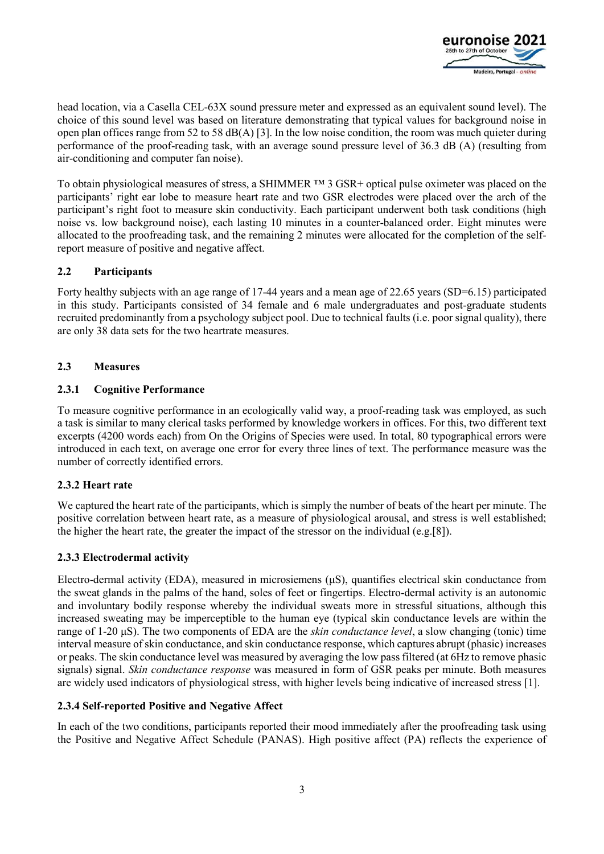

head location, via a Casella CEL-63X sound pressure meter and expressed as an equivalent sound level). The choice of this sound level was based on literature demonstrating that typical values for background noise in open plan offices range from 52 to 58 dB(A) [3]. In the low noise condition, the room was much quieter during performance of the proof-reading task, with an average sound pressure level of 36.3 dB (A) (resulting from air-conditioning and computer fan noise).

To obtain physiological measures of stress, a SHIMMER ™ 3 GSR+ optical pulse oximeter was placed on the participants' right ear lobe to measure heart rate and two GSR electrodes were placed over the arch of the participant's right foot to measure skin conductivity. Each participant underwent both task conditions (high noise vs. low background noise), each lasting 10 minutes in a counter-balanced order. Eight minutes were allocated to the proofreading task, and the remaining 2 minutes were allocated for the completion of the selfreport measure of positive and negative affect.

#### **2.2 Participants**

Forty healthy subjects with an age range of 17-44 years and a mean age of 22.65 years (SD=6.15) participated in this study. Participants consisted of 34 female and 6 male undergraduates and post-graduate students recruited predominantly from a psychology subject pool. Due to technical faults (i.e. poor signal quality), there are only 38 data sets for the two heartrate measures.

#### **2.3 Measures**

#### **2.3.1 Cognitive Performance**

To measure cognitive performance in an ecologically valid way, a proof-reading task was employed, as such a task is similar to many clerical tasks performed by knowledge workers in offices. For this, two different text excerpts (4200 words each) from On the Origins of Species were used. In total, 80 typographical errors were introduced in each text, on average one error for every three lines of text. The performance measure was the number of correctly identified errors.

### **2.3.2 Heart rate**

We captured the heart rate of the participants, which is simply the number of beats of the heart per minute. The positive correlation between heart rate, as a measure of physiological arousal, and stress is well established; the higher the heart rate, the greater the impact of the stressor on the individual (e.g.[8]).

#### **2.3.3 Electrodermal activity**

Electro-dermal activity (EDA), measured in microsiemens  $(\mu S)$ , quantifies electrical skin conductance from the sweat glands in the palms of the hand, soles of feet or fingertips. Electro-dermal activity is an autonomic and involuntary bodily response whereby the individual sweats more in stressful situations, although this increased sweating may be imperceptible to the human eye (typical skin conductance levels are within the range of 1-20 μS). The two components of EDA are the *skin conductance level*, a slow changing (tonic) time interval measure of skin conductance, and skin conductance response, which captures abrupt (phasic) increases or peaks. The skin conductance level was measured by averaging the low pass filtered (at 6Hz to remove phasic signals) signal. *Skin conductance response* was measured in form of GSR peaks per minute. Both measures are widely used indicators of physiological stress, with higher levels being indicative of increased stress [1].

#### **2.3.4 Self-reported Positive and Negative Affect**

In each of the two conditions, participants reported their mood immediately after the proofreading task using the Positive and Negative Affect Schedule (PANAS). High positive affect (PA) reflects the experience of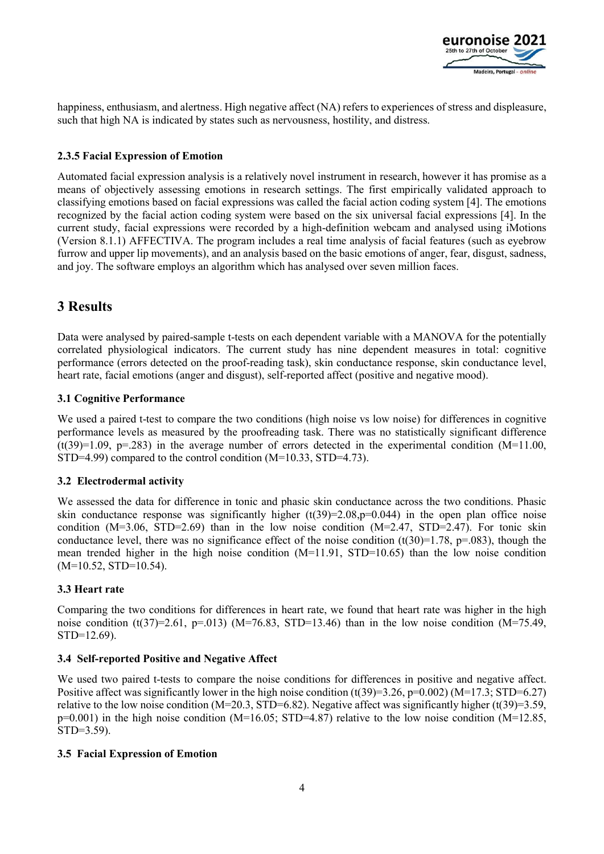

happiness, enthusiasm, and alertness. High negative affect (NA) refers to experiences of stress and displeasure, such that high NA is indicated by states such as nervousness, hostility, and distress.

#### **2.3.5 Facial Expression of Emotion**

Automated facial expression analysis is a relatively novel instrument in research, however it has promise as a means of objectively assessing emotions in research settings. The first empirically validated approach to classifying emotions based on facial expressions was called the facial action coding system [4]. The emotions recognized by the facial action coding system were based on the six universal facial expressions [4]. In the current study, facial expressions were recorded by a high-definition webcam and analysed using iMotions (Version 8.1.1) AFFECTIVA. The program includes a real time analysis of facial features (such as eyebrow furrow and upper lip movements), and an analysis based on the basic emotions of anger, fear, disgust, sadness, and joy. The software employs an algorithm which has analysed over seven million faces.

## **3 Results**

Data were analysed by paired-sample t-tests on each dependent variable with a MANOVA for the potentially correlated physiological indicators. The current study has nine dependent measures in total: cognitive performance (errors detected on the proof-reading task), skin conductance response, skin conductance level, heart rate, facial emotions (anger and disgust), self-reported affect (positive and negative mood).

#### **3.1 Cognitive Performance**

We used a paired t-test to compare the two conditions (high noise vs low noise) for differences in cognitive performance levels as measured by the proofreading task. There was no statistically significant difference  $(t(39)=1.09, p=.283)$  in the average number of errors detected in the experimental condition (M=11.00, STD=4.99) compared to the control condition (M=10.33, STD=4.73).

#### **3.2 Electrodermal activity**

We assessed the data for difference in tonic and phasic skin conductance across the two conditions. Phasic skin conductance response was significantly higher  $(t(39)=2.08,p=0.044)$  in the open plan office noise condition (M=3.06, STD=2.69) than in the low noise condition (M=2.47, STD=2.47). For tonic skin conductance level, there was no significance effect of the noise condition  $(t(30)=1.78, p=.083)$ , though the mean trended higher in the high noise condition (M=11.91, STD=10.65) than the low noise condition  $(M=10.52, STD=10.54)$ .

### **3.3 Heart rate**

Comparing the two conditions for differences in heart rate, we found that heart rate was higher in the high noise condition  $(t(37)=2.61, p=.013)$  (M=76.83, STD=13.46) than in the low noise condition (M=75.49, STD=12.69).

#### **3.4 Self-reported Positive and Negative Affect**

We used two paired t-tests to compare the noise conditions for differences in positive and negative affect. Positive affect was significantly lower in the high noise condition  $(t(39)=3.26, p=0.002)$  (M=17.3; STD=6.27) relative to the low noise condition (M=20.3, STD=6.82). Negative affect was significantly higher (t(39)=3.59,  $p=0.001$ ) in the high noise condition (M=16.05; STD=4.87) relative to the low noise condition (M=12.85, STD=3.59).

#### **3.5 Facial Expression of Emotion**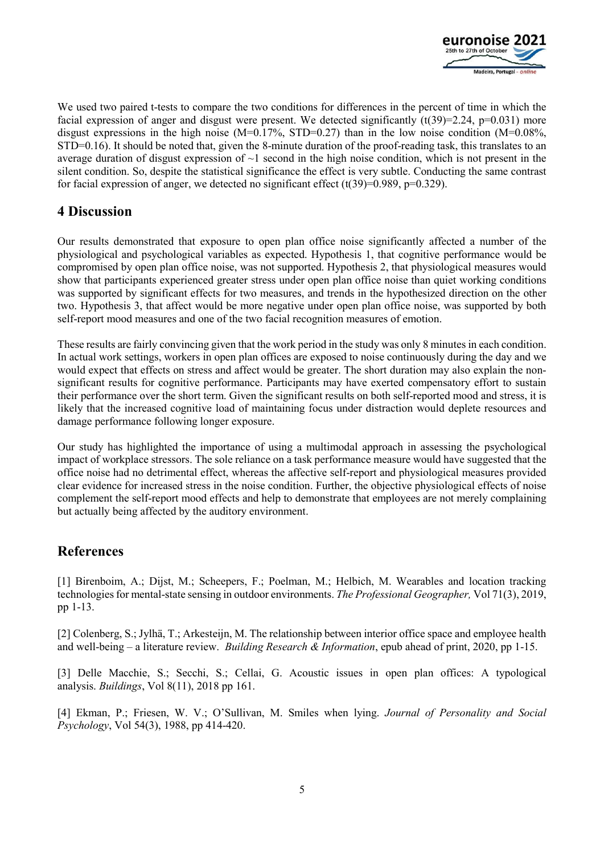

We used two paired t-tests to compare the two conditions for differences in the percent of time in which the facial expression of anger and disgust were present. We detected significantly  $(t(39)=2.24, p=0.031)$  more disgust expressions in the high noise (M=0.17%, STD=0.27) than in the low noise condition (M=0.08%, STD=0.16). It should be noted that, given the 8-minute duration of the proof-reading task, this translates to an average duration of disgust expression of  $\sim$ 1 second in the high noise condition, which is not present in the silent condition. So, despite the statistical significance the effect is very subtle. Conducting the same contrast for facial expression of anger, we detected no significant effect  $(t(39)=0.989, p=0.329)$ .

### **4 Discussion**

Our results demonstrated that exposure to open plan office noise significantly affected a number of the physiological and psychological variables as expected. Hypothesis 1, that cognitive performance would be compromised by open plan office noise, was not supported. Hypothesis 2, that physiological measures would show that participants experienced greater stress under open plan office noise than quiet working conditions was supported by significant effects for two measures, and trends in the hypothesized direction on the other two. Hypothesis 3, that affect would be more negative under open plan office noise, was supported by both self-report mood measures and one of the two facial recognition measures of emotion.

These results are fairly convincing given that the work period in the study was only 8 minutes in each condition. In actual work settings, workers in open plan offices are exposed to noise continuously during the day and we would expect that effects on stress and affect would be greater. The short duration may also explain the nonsignificant results for cognitive performance. Participants may have exerted compensatory effort to sustain their performance over the short term. Given the significant results on both self-reported mood and stress, it is likely that the increased cognitive load of maintaining focus under distraction would deplete resources and damage performance following longer exposure.

Our study has highlighted the importance of using a multimodal approach in assessing the psychological impact of workplace stressors. The sole reliance on a task performance measure would have suggested that the office noise had no detrimental effect, whereas the affective self-report and physiological measures provided clear evidence for increased stress in the noise condition. Further, the objective physiological effects of noise complement the self-report mood effects and help to demonstrate that employees are not merely complaining but actually being affected by the auditory environment.

### **References**

[1] Birenboim, A.; Dijst, M.; Scheepers, F.; Poelman, M.; Helbich, M. Wearables and location tracking technologies for mental-state sensing in outdoor environments. *The Professional Geographer,* Vol 71(3), 2019, pp 1-13.

[2] Colenberg, S.; Jylhä, T.; Arkesteijn, M. The relationship between interior office space and employee health and well-being – a literature review. *Building Research & Information*, epub ahead of print, 2020, pp 1-15.

[3] Delle Macchie, S.; Secchi, S.; Cellai, G. Acoustic issues in open plan offices: A typological analysis. *Buildings*, Vol 8(11), 2018 pp 161.

[4] Ekman, P.; Friesen, W. V.; O'Sullivan, M. Smiles when lying. *Journal of Personality and Social Psychology*, Vol 54(3), 1988, pp 414-420.